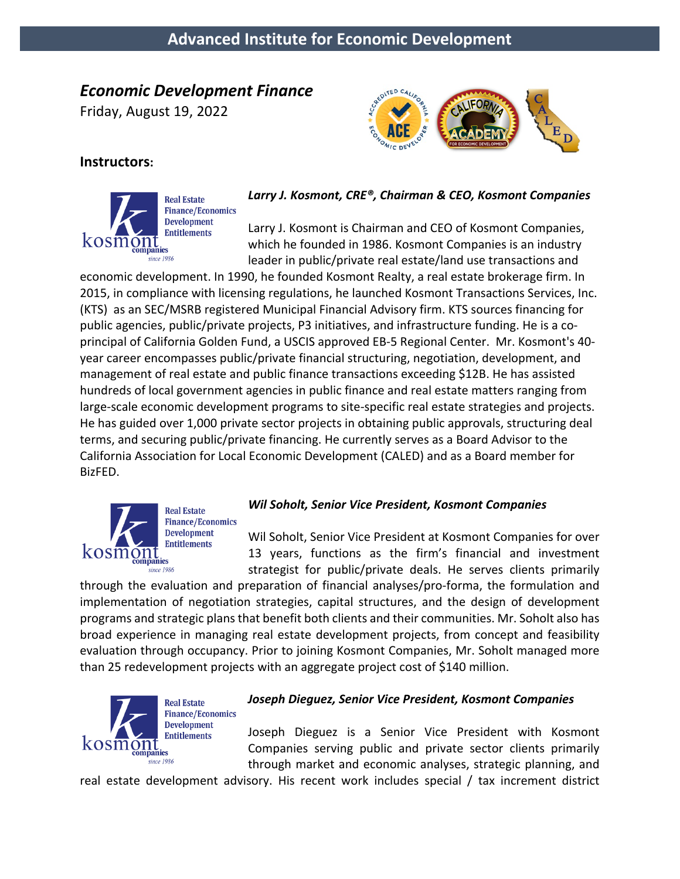# *Economic Development Finance*

Friday, August 19, 2022



# **Instructors:**



*Larry J. Kosmont, CRE®, Chairman & CEO, Kosmont Companies*

Larry J. Kosmont is Chairman and CEO of Kosmont Companies, which he founded in 1986. Kosmont Companies is an industry leader in public/private real estate/land use transactions and

economic development. In 1990, he founded Kosmont Realty, a real estate brokerage firm. In 2015, in compliance with licensing regulations, he launched Kosmont Transactions Services, Inc. (KTS) as an SEC/MSRB registered Municipal Financial Advisory firm. KTS sources financing for public agencies, public/private projects, P3 initiatives, and infrastructure funding. He is a coprincipal of California Golden Fund, a USCIS approved EB-5 Regional Center. Mr. Kosmont's 40 year career encompasses public/private financial structuring, negotiation, development, and management of real estate and public finance transactions exceeding \$12B. He has assisted hundreds of local government agencies in public finance and real estate matters ranging from large-scale economic development programs to site-specific real estate strategies and projects. He has guided over 1,000 private sector projects in obtaining public approvals, structuring deal terms, and securing public/private financing. He currently serves as a Board Advisor to the California Association for Local Economic Development (CALED) and as a Board member for BizFED.



**Real Estate Finance/Economics Development Entitlements** 

# *Wil Soholt, Senior Vice President, Kosmont Companies*

Wil Soholt, Senior Vice President at Kosmont Companies for over 13 years, functions as the firm's financial and investment strategist for public/private deals. He serves clients primarily

through the evaluation and preparation of financial analyses/pro-forma, the formulation and implementation of negotiation strategies, capital structures, and the design of development programs and strategic plans that benefit both clients and their communities. Mr. Soholt also has broad experience in managing real estate development projects, from concept and feasibility evaluation through occupancy. Prior to joining Kosmont Companies, Mr. Soholt managed more than 25 redevelopment projects with an aggregate project cost of \$140 million.



# *Joseph Dieguez, Senior Vice President, Kosmont Companies*

Joseph Dieguez is a Senior Vice President with Kosmont Companies serving public and private sector clients primarily through market and economic analyses, strategic planning, and

real estate development advisory. His recent work includes special / tax increment district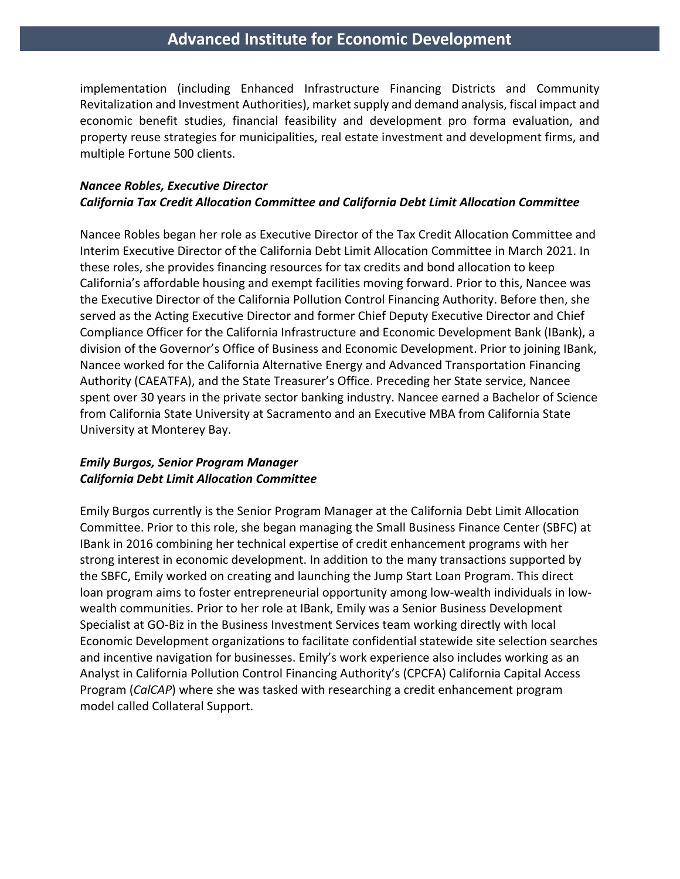implementation (including Enhanced Infrastructure Financing Districts and Community Revitalization and Investment Authorities), market supply and demand analysis, fiscal impact and economic benefit studies, financial feasibility and development pro forma evaluation, and property reuse strategies for municipalities, real estate investment and development firms, and multiple Fortune 500 clients.

#### *Nancee Robles, Executive Director California Tax Credit Allocation Committee and California Debt Limit Allocation Committee*

Nancee Robles began her role as Executive Director of the Tax Credit Allocation Committee and Interim Executive Director of the California Debt Limit Allocation Committee in March 2021. In these roles, she provides financing resources for tax credits and bond allocation to keep California's affordable housing and exempt facilities moving forward. Prior to this, Nancee was the Executive Director of the California Pollution Control Financing Authority. Before then, she served as the Acting Executive Director and former Chief Deputy Executive Director and Chief Compliance Officer for the California Infrastructure and Economic Development Bank (IBank), a division of the Governor's Office of Business and Economic Development. Prior to joining IBank, Nancee worked for the California Alternative Energy and Advanced Transportation Financing Authority (CAEATFA), and the State Treasurer's Office. Preceding her State service, Nancee spent over 30 years in the private sector banking industry. Nancee earned a Bachelor of Science from California State University at Sacramento and an Executive MBA from California State University at Monterey Bay.

#### *Emily Burgos, Senior Program Manager California Debt Limit Allocation Committee*

Emily Burgos currently is the Senior Program Manager at the California Debt Limit Allocation Committee. Prior to this role, she began managing the Small Business Finance Center (SBFC) at IBank in 2016 combining her technical expertise of credit enhancement programs with her strong interest in economic development. In addition to the many transactions supported by the SBFC, Emily worked on creating and launching the Jump Start Loan Program. This direct loan program aims to foster entrepreneurial opportunity among low-wealth individuals in lowwealth communities. Prior to her role at IBank, Emily was a Senior Business Development Specialist at GO-Biz in the Business Investment Services team working directly with local Economic Development organizations to facilitate confidential statewide site selection searches and incentive navigation for businesses. Emily's work experience also includes working as an Analyst in California Pollution Control Financing Authority's (CPCFA) California Capital Access Program (*CalCAP*) where she was tasked with researching a credit enhancement program model called Collateral Support.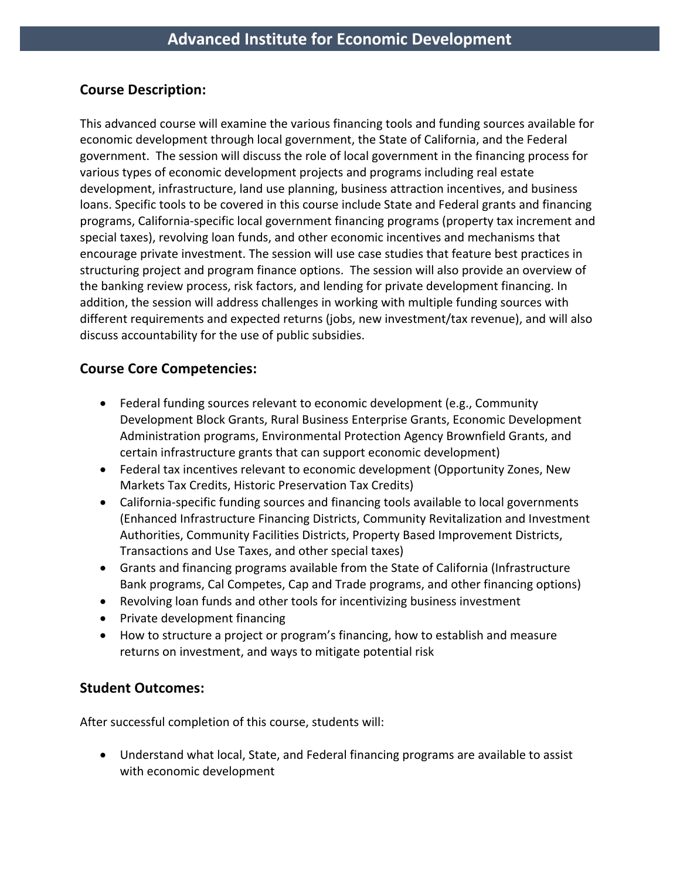# **Course Description:**

This advanced course will examine the various financing tools and funding sources available for economic development through local government, the State of California, and the Federal government. The session will discuss the role of local government in the financing process for various types of economic development projects and programs including real estate development, infrastructure, land use planning, business attraction incentives, and business loans. Specific tools to be covered in this course include State and Federal grants and financing programs, California-specific local government financing programs (property tax increment and special taxes), revolving loan funds, and other economic incentives and mechanisms that encourage private investment. The session will use case studies that feature best practices in structuring project and program finance options. The session will also provide an overview of the banking review process, risk factors, and lending for private development financing. In addition, the session will address challenges in working with multiple funding sources with different requirements and expected returns (jobs, new investment/tax revenue), and will also discuss accountability for the use of public subsidies.

# **Course Core Competencies:**

- Federal funding sources relevant to economic development (e.g., Community Development Block Grants, Rural Business Enterprise Grants, Economic Development Administration programs, Environmental Protection Agency Brownfield Grants, and certain infrastructure grants that can support economic development)
- Federal tax incentives relevant to economic development (Opportunity Zones, New Markets Tax Credits, Historic Preservation Tax Credits)
- California-specific funding sources and financing tools available to local governments (Enhanced Infrastructure Financing Districts, Community Revitalization and Investment Authorities, Community Facilities Districts, Property Based Improvement Districts, Transactions and Use Taxes, and other special taxes)
- Grants and financing programs available from the State of California (Infrastructure Bank programs, Cal Competes, Cap and Trade programs, and other financing options)
- Revolving loan funds and other tools for incentivizing business investment
- Private development financing
- How to structure a project or program's financing, how to establish and measure returns on investment, and ways to mitigate potential risk

### **Student Outcomes:**

After successful completion of this course, students will:

• Understand what local, State, and Federal financing programs are available to assist with economic development